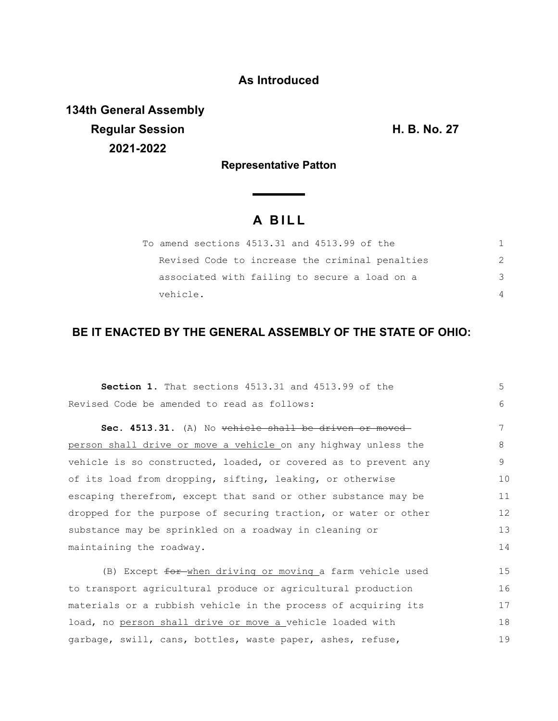## **As Introduced**

**134th General Assembly Regular Session H. B. No. 27 2021-2022**

**Representative Patton**

## **A B I L L**

| To amend sections 4513.31 and 4513.99 of the    |               |
|-------------------------------------------------|---------------|
| Revised Code to increase the criminal penalties | $\mathcal{P}$ |
| associated with failing to secure a load on a   | 3             |
| vehicle.                                        | 4             |

## **BE IT ENACTED BY THE GENERAL ASSEMBLY OF THE STATE OF OHIO:**

| <b>Section 1.</b> That sections 4513.31 and 4513.99 of the      |    |  |  |  |  |
|-----------------------------------------------------------------|----|--|--|--|--|
| Revised Code be amended to read as follows:                     |    |  |  |  |  |
| Sec. 4513.31. (A) No vehicle shall be driven or moved           | 7  |  |  |  |  |
| person shall drive or move a vehicle on any highway unless the  | 8  |  |  |  |  |
| vehicle is so constructed, loaded, or covered as to prevent any | 9  |  |  |  |  |
| of its load from dropping, sifting, leaking, or otherwise       | 10 |  |  |  |  |
| escaping therefrom, except that sand or other substance may be  | 11 |  |  |  |  |
| dropped for the purpose of securing traction, or water or other | 12 |  |  |  |  |
| substance may be sprinkled on a roadway in cleaning or          |    |  |  |  |  |
| maintaining the roadway.                                        |    |  |  |  |  |
| (B) Except for when driving or moving a farm vehicle used       | 15 |  |  |  |  |
| to transport agricultural produce or agricultural production    |    |  |  |  |  |
| materials or a rubbish vehicle in the process of acquiring its  |    |  |  |  |  |
| load, no person shall drive or move a vehicle loaded with       |    |  |  |  |  |
| garbage, swill, cans, bottles, waste paper, ashes, refuse,      |    |  |  |  |  |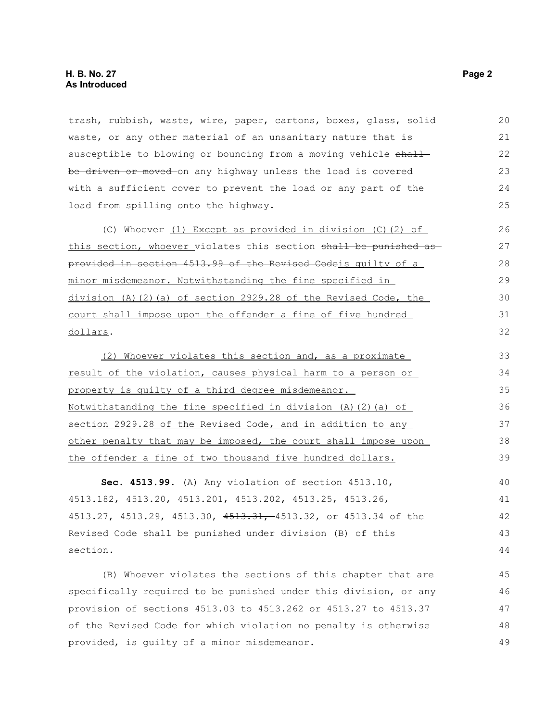trash, rubbish, waste, wire, paper, cartons, boxes, glass, solid waste, or any other material of an unsanitary nature that is susceptible to blowing or bouncing from a moving vehicle shall be driven or moved on any highway unless the load is covered with a sufficient cover to prevent the load or any part of the load from spilling onto the highway. 20 21 22 23 24 25

(C) Whoever (1) Except as provided in division (C)(2) of this section, whoever violates this section shall be punished as provided in section 4513.99 of the Revised Codeis guilty of a minor misdemeanor. Notwithstanding the fine specified in division (A)(2)(a) of section 2929.28 of the Revised Code, the court shall impose upon the offender a fine of five hundred dollars.

(2) Whoever violates this section and, as a proximate result of the violation, causes physical harm to a person or property is guilty of a third degree misdemeanor. Notwithstanding the fine specified in division (A)(2)(a) of section 2929.28 of the Revised Code, and in addition to any other penalty that may be imposed, the court shall impose upon the offender a fine of two thousand five hundred dollars. 33 34 35 36 37 38 39

**Sec. 4513.99.** (A) Any violation of section 4513.10, 4513.182, 4513.20, 4513.201, 4513.202, 4513.25, 4513.26, 4513.27, 4513.29, 4513.30, 4513.31, 4513.32, or 4513.34 of the Revised Code shall be punished under division (B) of this section. 40 41 42 43 44

(B) Whoever violates the sections of this chapter that are specifically required to be punished under this division, or any provision of sections 4513.03 to 4513.262 or 4513.27 to 4513.37 of the Revised Code for which violation no penalty is otherwise provided, is guilty of a minor misdemeanor.